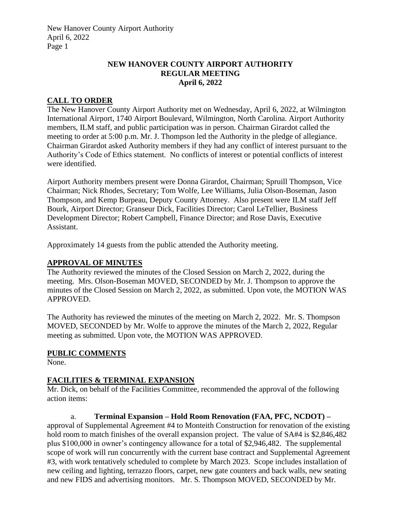## **NEW HANOVER COUNTY AIRPORT AUTHORITY REGULAR MEETING April 6, 2022**

## **CALL TO ORDER**

The New Hanover County Airport Authority met on Wednesday, April 6, 2022, at Wilmington International Airport, 1740 Airport Boulevard, Wilmington, North Carolina. Airport Authority members, ILM staff, and public participation was in person. Chairman Girardot called the meeting to order at 5:00 p.m. Mr. J. Thompson led the Authority in the pledge of allegiance. Chairman Girardot asked Authority members if they had any conflict of interest pursuant to the Authority's Code of Ethics statement. No conflicts of interest or potential conflicts of interest were identified.

Airport Authority members present were Donna Girardot, Chairman; Spruill Thompson, Vice Chairman; Nick Rhodes, Secretary; Tom Wolfe, Lee Williams, Julia Olson-Boseman, Jason Thompson, and Kemp Burpeau, Deputy County Attorney. Also present were ILM staff Jeff Bourk, Airport Director; Granseur Dick, Facilities Director; Carol LeTellier, Business Development Director; Robert Campbell, Finance Director; and Rose Davis, Executive Assistant.

Approximately 14 guests from the public attended the Authority meeting.

#### **APPROVAL OF MINUTES**

The Authority reviewed the minutes of the Closed Session on March 2, 2022, during the meeting. Mrs. Olson-Boseman MOVED, SECONDED by Mr. J. Thompson to approve the minutes of the Closed Session on March 2, 2022, as submitted. Upon vote, the MOTION WAS APPROVED.

The Authority has reviewed the minutes of the meeting on March 2, 2022. Mr. S. Thompson MOVED, SECONDED by Mr. Wolfe to approve the minutes of the March 2, 2022, Regular meeting as submitted. Upon vote, the MOTION WAS APPROVED.

#### **PUBLIC COMMENTS**

None.

#### **FACILITIES & TERMINAL EXPANSION**

Mr. Dick, on behalf of the Facilities Committee, recommended the approval of the following action items:

a. **Terminal Expansion – Hold Room Renovation (FAA, PFC, NCDOT) –** approval of Supplemental Agreement #4 to Monteith Construction for renovation of the existing hold room to match finishes of the overall expansion project. The value of SA#4 is \$2,846,482 plus \$100,000 in owner's contingency allowance for a total of \$2,946,482. The supplemental scope of work will run concurrently with the current base contract and Supplemental Agreement #3, with work tentatively scheduled to complete by March 2023. Scope includes installation of new ceiling and lighting, terrazzo floors, carpet, new gate counters and back walls, new seating and new FIDS and advertising monitors. Mr. S. Thompson MOVED, SECONDED by Mr.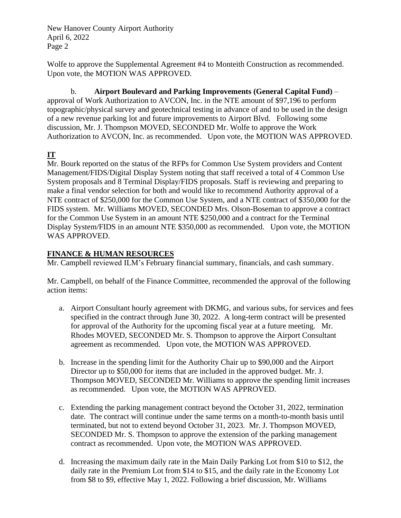Wolfe to approve the Supplemental Agreement #4 to Monteith Construction as recommended. Upon vote, the MOTION WAS APPROVED.

b. **Airport Boulevard and Parking Improvements (General Capital Fund)** – approval of Work Authorization to AVCON, Inc. in the NTE amount of \$97,196 to perform topographic/physical survey and geotechnical testing in advance of and to be used in the design of a new revenue parking lot and future improvements to Airport Blvd. Following some discussion, Mr. J. Thompson MOVED, SECONDED Mr. Wolfe to approve the Work Authorization to AVCON, Inc. as recommended. Upon vote, the MOTION WAS APPROVED.

# **IT**

Mr. Bourk reported on the status of the RFPs for Common Use System providers and Content Management/FIDS/Digital Display System noting that staff received a total of 4 Common Use System proposals and 8 Terminal Display/FIDS proposals. Staff is reviewing and preparing to make a final vendor selection for both and would like to recommend Authority approval of a NTE contract of \$250,000 for the Common Use System, and a NTE contract of \$350,000 for the FIDS system. Mr. Williams MOVED, SECONDED Mrs. Olson-Boseman to approve a contract for the Common Use System in an amount NTE \$250,000 and a contract for the Terminal Display System/FIDS in an amount NTE \$350,000 as recommended. Upon vote, the MOTION WAS APPROVED.

## **FINANCE & HUMAN RESOURCES**

Mr. Campbell reviewed ILM's February financial summary, financials, and cash summary.

Mr. Campbell, on behalf of the Finance Committee, recommended the approval of the following action items:

- a. Airport Consultant hourly agreement with DKMG, and various subs, for services and fees specified in the contract through June 30, 2022. A long-term contract will be presented for approval of the Authority for the upcoming fiscal year at a future meeting. Mr. Rhodes MOVED, SECONDED Mr. S. Thompson to approve the Airport Consultant agreement as recommended. Upon vote, the MOTION WAS APPROVED.
- b. Increase in the spending limit for the Authority Chair up to \$90,000 and the Airport Director up to \$50,000 for items that are included in the approved budget. Mr. J. Thompson MOVED, SECONDED Mr. Williams to approve the spending limit increases as recommended. Upon vote, the MOTION WAS APPROVED.
- c. Extending the parking management contract beyond the October 31, 2022, termination date. The contract will continue under the same terms on a month-to-month basis until terminated, but not to extend beyond October 31, 2023. Mr. J. Thompson MOVED, SECONDED Mr. S. Thompson to approve the extension of the parking management contract as recommended. Upon vote, the MOTION WAS APPROVED.
- d. Increasing the maximum daily rate in the Main Daily Parking Lot from \$10 to \$12, the daily rate in the Premium Lot from \$14 to \$15, and the daily rate in the Economy Lot from \$8 to \$9, effective May 1, 2022. Following a brief discussion, Mr. Williams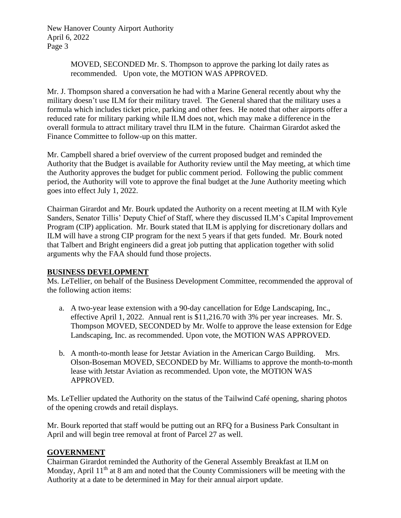> MOVED, SECONDED Mr. S. Thompson to approve the parking lot daily rates as recommended. Upon vote, the MOTION WAS APPROVED.

Mr. J. Thompson shared a conversation he had with a Marine General recently about why the military doesn't use ILM for their military travel. The General shared that the military uses a formula which includes ticket price, parking and other fees. He noted that other airports offer a reduced rate for military parking while ILM does not, which may make a difference in the overall formula to attract military travel thru ILM in the future. Chairman Girardot asked the Finance Committee to follow-up on this matter.

Mr. Campbell shared a brief overview of the current proposed budget and reminded the Authority that the Budget is available for Authority review until the May meeting, at which time the Authority approves the budget for public comment period. Following the public comment period, the Authority will vote to approve the final budget at the June Authority meeting which goes into effect July 1, 2022.

Chairman Girardot and Mr. Bourk updated the Authority on a recent meeting at ILM with Kyle Sanders, Senator Tillis' Deputy Chief of Staff, where they discussed ILM's Capital Improvement Program (CIP) application. Mr. Bourk stated that ILM is applying for discretionary dollars and ILM will have a strong CIP program for the next 5 years if that gets funded. Mr. Bourk noted that Talbert and Bright engineers did a great job putting that application together with solid arguments why the FAA should fund those projects.

## **BUSINESS DEVELOPMENT**

Ms. LeTellier, on behalf of the Business Development Committee, recommended the approval of the following action items:

- a. A two-year lease extension with a 90-day cancellation for Edge Landscaping, Inc., effective April 1, 2022. Annual rent is \$11,216.70 with 3% per year increases. Mr. S. Thompson MOVED, SECONDED by Mr. Wolfe to approve the lease extension for Edge Landscaping, Inc. as recommended. Upon vote, the MOTION WAS APPROVED.
- b. A month-to-month lease for Jetstar Aviation in the American Cargo Building. Mrs. Olson-Boseman MOVED, SECONDED by Mr. Williams to approve the month-to-month lease with Jetstar Aviation as recommended. Upon vote, the MOTION WAS APPROVED.

Ms. LeTellier updated the Authority on the status of the Tailwind Café opening, sharing photos of the opening crowds and retail displays.

Mr. Bourk reported that staff would be putting out an RFQ for a Business Park Consultant in April and will begin tree removal at front of Parcel 27 as well.

## **GOVERNMENT**

Chairman Girardot reminded the Authority of the General Assembly Breakfast at ILM on Monday, April  $11<sup>th</sup>$  at 8 am and noted that the County Commissioners will be meeting with the Authority at a date to be determined in May for their annual airport update.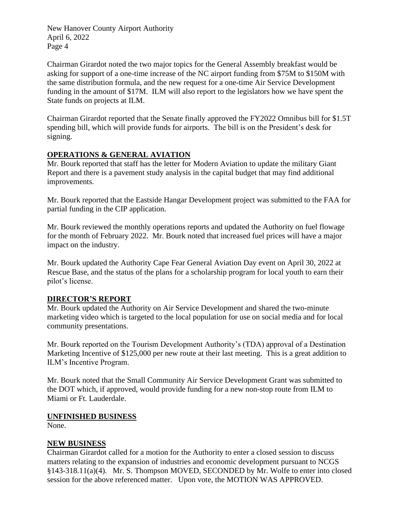Chairman Girardot noted the two major topics for the General Assembly breakfast would be asking for support of a one-time increase of the NC airport funding from \$75M to \$150M with the same distribution formula, and the new request for a one-time Air Service Development funding in the amount of \$17M. ILM will also report to the legislators how we have spent the State funds on projects at ILM.

Chairman Girardot reported that the Senate finally approved the FY2022 Omnibus bill for \$1.5T spending bill, which will provide funds for airports. The bill is on the President's desk for signing.

## **OPERATIONS & GENERAL AVIATION**

Mr. Bourk reported that staff has the letter for Modern Aviation to update the military Giant Report and there is a pavement study analysis in the capital budget that may find additional improvements.

Mr. Bourk reported that the Eastside Hangar Development project was submitted to the FAA for partial funding in the CIP application.

Mr. Bourk reviewed the monthly operations reports and updated the Authority on fuel flowage for the month of February 2022. Mr. Bourk noted that increased fuel prices will have a major impact on the industry.

Mr. Bourk updated the Authority Cape Fear General Aviation Day event on April 30, 2022 at Rescue Base, and the status of the plans for a scholarship program for local youth to earn their pilot's license.

## **DIRECTOR'S REPORT**

Mr. Bourk updated the Authority on Air Service Development and shared the two-minute marketing video which is targeted to the local population for use on social media and for local community presentations.

Mr. Bourk reported on the Tourism Development Authority's (TDA) approval of a Destination Marketing Incentive of \$125,000 per new route at their last meeting. This is a great addition to ILM's Incentive Program.

Mr. Bourk noted that the Small Community Air Service Development Grant was submitted to the DOT which, if approved, would provide funding for a new non-stop route from ILM to Miami or Ft. Lauderdale.

#### **UNFINISHED BUSINESS**

None.

## **NEW BUSINESS**

Chairman Girardot called for a motion for the Authority to enter a closed session to discuss matters relating to the expansion of industries and economic development pursuant to NCGS §143-318.11(a)(4). Mr. S. Thompson MOVED, SECONDED by Mr. Wolfe to enter into closed session for the above referenced matter. Upon vote, the MOTION WAS APPROVED.